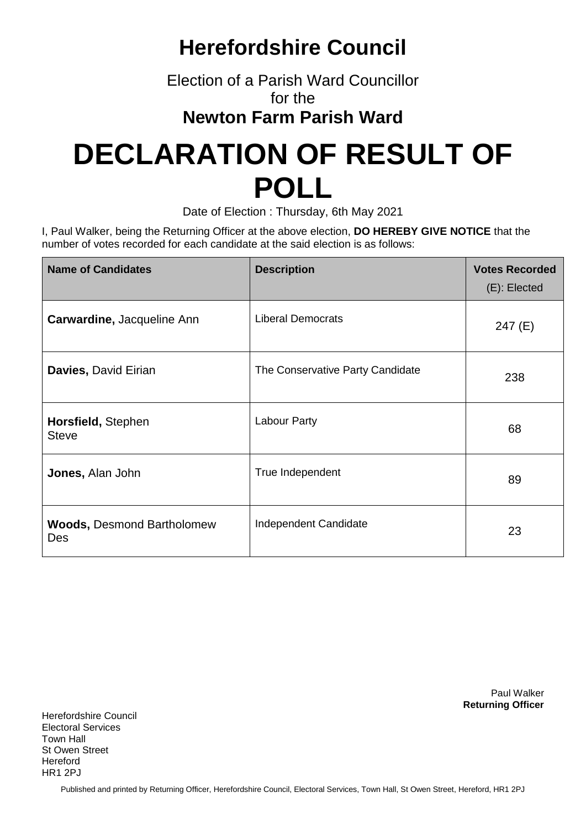## **Herefordshire Council**

Election of a Parish Ward Councillor for the

**Newton Farm Parish Ward**

## **DECLARATION OF RESULT OF POLL**

Date of Election : Thursday, 6th May 2021

I, Paul Walker, being the Returning Officer at the above election, **DO HEREBY GIVE NOTICE** that the number of votes recorded for each candidate at the said election is as follows:

| <b>Name of Candidates</b>                | <b>Description</b>               | <b>Votes Recorded</b><br>$(E)$ : Elected |
|------------------------------------------|----------------------------------|------------------------------------------|
| Carwardine, Jacqueline Ann               | <b>Liberal Democrats</b>         | 247(E)                                   |
| Davies, David Eirian                     | The Conservative Party Candidate | 238                                      |
| Horsfield, Stephen<br><b>Steve</b>       | Labour Party                     | 68                                       |
| Jones, Alan John                         | True Independent                 | 89                                       |
| <b>Woods, Desmond Bartholomew</b><br>Des | Independent Candidate            | 23                                       |

Paul Walker **Returning Officer**

Herefordshire Council Electoral Services Town Hall St Owen Street Hereford HR1 2PJ

Published and printed by Returning Officer, Herefordshire Council, Electoral Services, Town Hall, St Owen Street, Hereford, HR1 2PJ